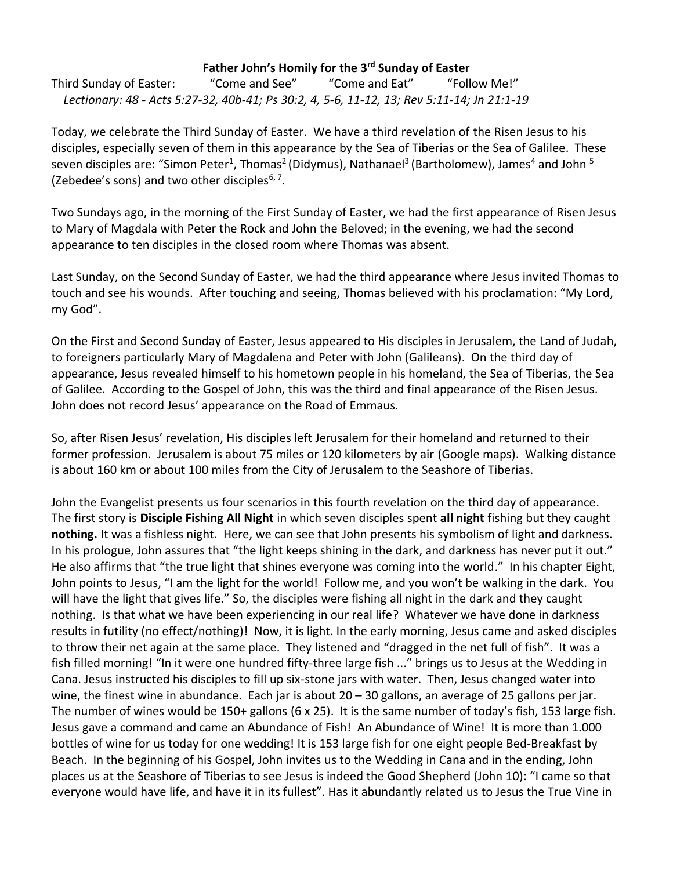## **Father John's Homily for the 3rd Sunday of Easter**

Third Sunday of Easter: "Come and See" "Come and Eat" "Follow Me!"  *Lectionary: 48 - Acts 5:27-32, 40b-41; Ps 30:2, 4, 5-6, 11-12, 13; Rev 5:11-14; Jn 21:1-19*

Today, we celebrate the Third Sunday of Easter. We have a third revelation of the Risen Jesus to his disciples, especially seven of them in this appearance by the Sea of Tiberias or the Sea of Galilee. These seven disciples are: "Simon Peter<sup>1</sup>, Thomas<sup>2</sup> (Didymus), Nathanael<sup>3</sup> (Bartholomew), James<sup>4</sup> and John <sup>5</sup> (Zebedee's sons) and two other disciples<sup>6,7</sup>.

Two Sundays ago, in the morning of the First Sunday of Easter, we had the first appearance of Risen Jesus to Mary of Magdala with Peter the Rock and John the Beloved; in the evening, we had the second appearance to ten disciples in the closed room where Thomas was absent.

Last Sunday, on the Second Sunday of Easter, we had the third appearance where Jesus invited Thomas to touch and see his wounds. After touching and seeing, Thomas believed with his proclamation: "My Lord, my God".

On the First and Second Sunday of Easter, Jesus appeared to His disciples in Jerusalem, the Land of Judah, to foreigners particularly Mary of Magdalena and Peter with John (Galileans). On the third day of appearance, Jesus revealed himself to his hometown people in his homeland, the Sea of Tiberias, the Sea of Galilee. According to the Gospel of John, this was the third and final appearance of the Risen Jesus. John does not record Jesus' appearance on the Road of Emmaus.

So, after Risen Jesus' revelation, His disciples left Jerusalem for their homeland and returned to their former profession. Jerusalem is about 75 miles or 120 kilometers by air (Google maps). Walking distance is about 160 km or about 100 miles from the City of Jerusalem to the Seashore of Tiberias.

John the Evangelist presents us four scenarios in this fourth revelation on the third day of appearance. The first story is **Disciple Fishing All Night** in which seven disciples spent **all night** fishing but they caught **nothing.** It was a fishless night. Here, we can see that John presents his symbolism of light and darkness. In his prologue, John assures that "the light keeps shining in the dark, and darkness has never put it out." He also affirms that "the true light that shines everyone was coming into the world." In his chapter Eight, John points to Jesus, "I am the light for the world! Follow me, and you won't be walking in the dark. You will have the light that gives life." So, the disciples were fishing all night in the dark and they caught nothing. Is that what we have been experiencing in our real life? Whatever we have done in darkness results in futility (no effect/nothing)! Now, it is light. In the early morning, Jesus came and asked disciples to throw their net again at the same place. They listened and "dragged in the net full of fish". It was a fish filled morning! "In it were one hundred fifty-three large fish ..." brings us to Jesus at the Wedding in Cana. Jesus instructed his disciples to fill up six-stone jars with water. Then, Jesus changed water into wine, the finest wine in abundance. Each jar is about 20 – 30 gallons, an average of 25 gallons per jar. The number of wines would be 150+ gallons (6 x 25). It is the same number of today's fish, 153 large fish. Jesus gave a command and came an Abundance of Fish! An Abundance of Wine! It is more than 1.000 bottles of wine for us today for one wedding! It is 153 large fish for one eight people Bed-Breakfast by Beach. In the beginning of his Gospel, John invites us to the Wedding in Cana and in the ending, John places us at the Seashore of Tiberias to see Jesus is indeed the Good Shepherd (John 10): "I came so that everyone would have life, and have it in its fullest". Has it abundantly related us to Jesus the True Vine in